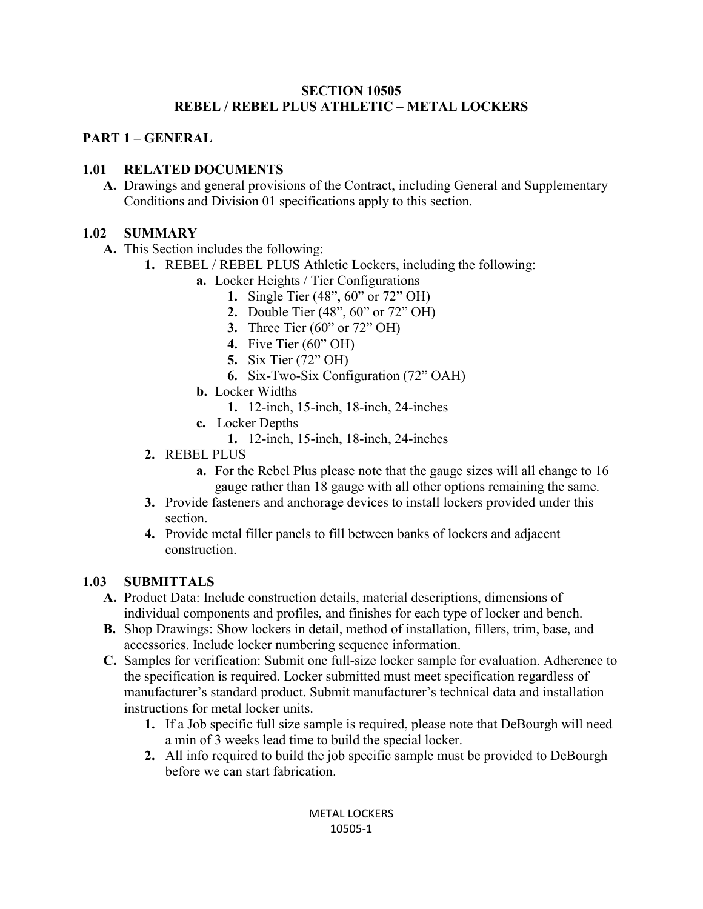#### **SECTION 10505 REBEL / REBEL PLUS ATHLETIC – METAL LOCKERS**

### **PART 1 – GENERAL**

### **1.01 RELATED DOCUMENTS**

**A.** Drawings and general provisions of the Contract, including General and Supplementary Conditions and Division 01 specifications apply to this section.

#### **1.02 SUMMARY**

- **A.** This Section includes the following:
	- **1.** REBEL / REBEL PLUS Athletic Lockers, including the following:
		- **a.** Locker Heights / Tier Configurations
			- **1.** Single Tier (48", 60" or 72" OH)
			- **2.** Double Tier (48", 60" or 72" OH)
			- **3.** Three Tier (60" or 72" OH)
			- **4.** Five Tier (60" OH)
			- **5.** Six Tier (72" OH)
			- **6.** Six-Two-Six Configuration (72" OAH)
		- **b.** Locker Widths
			- **1.** 12-inch, 15-inch, 18-inch, 24-inches
		- **c.** Locker Depths
			- **1.** 12-inch, 15-inch, 18-inch, 24-inches
	- **2.** REBEL PLUS
		- **a.** For the Rebel Plus please note that the gauge sizes will all change to 16 gauge rather than 18 gauge with all other options remaining the same.
	- **3.** Provide fasteners and anchorage devices to install lockers provided under this section.
	- **4.** Provide metal filler panels to fill between banks of lockers and adjacent construction.

#### **1.03 SUBMITTALS**

- **A.** Product Data: Include construction details, material descriptions, dimensions of individual components and profiles, and finishes for each type of locker and bench.
- **B.** Shop Drawings: Show lockers in detail, method of installation, fillers, trim, base, and accessories. Include locker numbering sequence information.
- **C.** Samples for verification: Submit one full-size locker sample for evaluation. Adherence to the specification is required. Locker submitted must meet specification regardless of manufacturer's standard product. Submit manufacturer's technical data and installation instructions for metal locker units.
	- **1.** If a Job specific full size sample is required, please note that DeBourgh will need a min of 3 weeks lead time to build the special locker.
	- **2.** All info required to build the job specific sample must be provided to DeBourgh before we can start fabrication.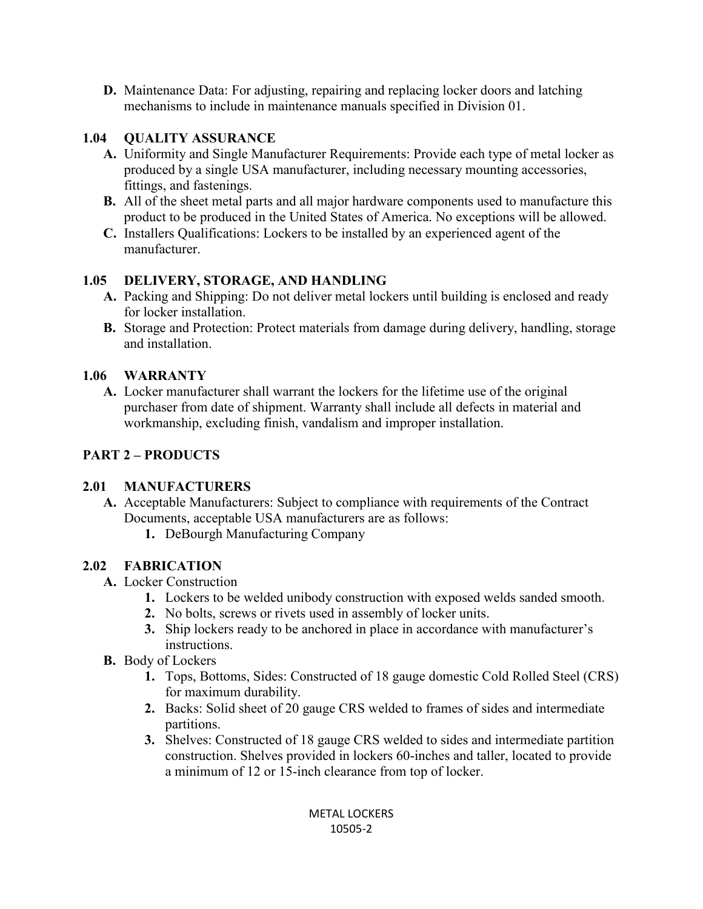**D.** Maintenance Data: For adjusting, repairing and replacing locker doors and latching mechanisms to include in maintenance manuals specified in Division 01.

## **1.04 QUALITY ASSURANCE**

- **A.** Uniformity and Single Manufacturer Requirements: Provide each type of metal locker as produced by a single USA manufacturer, including necessary mounting accessories, fittings, and fastenings.
- **B.** All of the sheet metal parts and all major hardware components used to manufacture this product to be produced in the United States of America. No exceptions will be allowed.
- **C.** Installers Qualifications: Lockers to be installed by an experienced agent of the manufacturer.

## **1.05 DELIVERY, STORAGE, AND HANDLING**

- **A.** Packing and Shipping: Do not deliver metal lockers until building is enclosed and ready for locker installation.
- **B.** Storage and Protection: Protect materials from damage during delivery, handling, storage and installation.

## **1.06 WARRANTY**

**A.** Locker manufacturer shall warrant the lockers for the lifetime use of the original purchaser from date of shipment. Warranty shall include all defects in material and workmanship, excluding finish, vandalism and improper installation.

# **PART 2 – PRODUCTS**

## **2.01 MANUFACTURERS**

- **A.** Acceptable Manufacturers: Subject to compliance with requirements of the Contract Documents, acceptable USA manufacturers are as follows:
	- **1.** DeBourgh Manufacturing Company

# **2.02 FABRICATION**

- **A.** Locker Construction
	- **1.** Lockers to be welded unibody construction with exposed welds sanded smooth.
	- **2.** No bolts, screws or rivets used in assembly of locker units.
	- **3.** Ship lockers ready to be anchored in place in accordance with manufacturer's instructions.
- **B.** Body of Lockers
	- **1.** Tops, Bottoms, Sides: Constructed of 18 gauge domestic Cold Rolled Steel (CRS) for maximum durability.
	- **2.** Backs: Solid sheet of 20 gauge CRS welded to frames of sides and intermediate partitions.
	- **3.** Shelves: Constructed of 18 gauge CRS welded to sides and intermediate partition construction. Shelves provided in lockers 60-inches and taller, located to provide a minimum of 12 or 15-inch clearance from top of locker.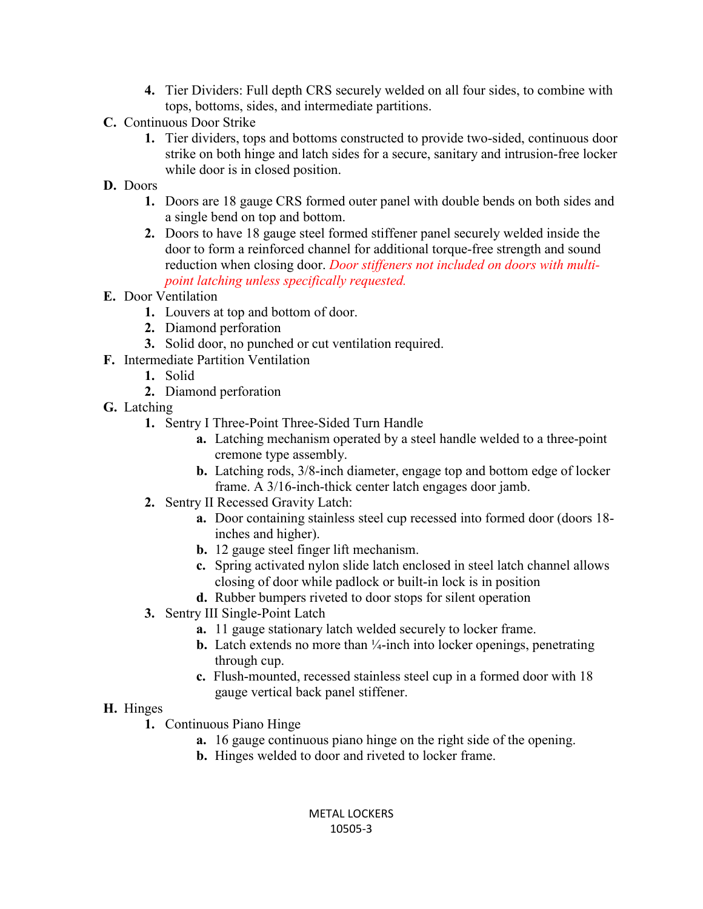- **4.** Tier Dividers: Full depth CRS securely welded on all four sides, to combine with tops, bottoms, sides, and intermediate partitions.
- **C.** Continuous Door Strike
	- **1.** Tier dividers, tops and bottoms constructed to provide two-sided, continuous door strike on both hinge and latch sides for a secure, sanitary and intrusion-free locker while door is in closed position.
- **D.** Doors
	- **1.** Doors are 18 gauge CRS formed outer panel with double bends on both sides and a single bend on top and bottom.
	- **2.** Doors to have 18 gauge steel formed stiffener panel securely welded inside the door to form a reinforced channel for additional torque-free strength and sound reduction when closing door. *Door stiffeners not included on doors with multipoint latching unless specifically requested.*
- **E.** Door Ventilation
	- **1.** Louvers at top and bottom of door.
	- **2.** Diamond perforation
	- **3.** Solid door, no punched or cut ventilation required.
- **F.** Intermediate Partition Ventilation
- **1.** Solid
	- **2.** Diamond perforation
- **G.** Latching
	- **1.** Sentry I Three-Point Three-Sided Turn Handle
		- **a.** Latching mechanism operated by a steel handle welded to a three-point cremone type assembly.
		- **b.** Latching rods, 3/8-inch diameter, engage top and bottom edge of locker frame. A 3/16-inch-thick center latch engages door jamb.
	- **2.** Sentry II Recessed Gravity Latch:
		- **a.** Door containing stainless steel cup recessed into formed door (doors 18 inches and higher).
		- **b.** 12 gauge steel finger lift mechanism.
		- **c.** Spring activated nylon slide latch enclosed in steel latch channel allows closing of door while padlock or built-in lock is in position
		- **d.** Rubber bumpers riveted to door stops for silent operation
	- **3.** Sentry III Single-Point Latch
		- **a.** 11 gauge stationary latch welded securely to locker frame.
		- **b.** Latch extends no more than  $\frac{1}{4}$ -inch into locker openings, penetrating through cup.
		- **c.** Flush-mounted, recessed stainless steel cup in a formed door with 18 gauge vertical back panel stiffener.

# **H.** Hinges

- **1.** Continuous Piano Hinge
	- **a.** 16 gauge continuous piano hinge on the right side of the opening.
	- **b.** Hinges welded to door and riveted to locker frame.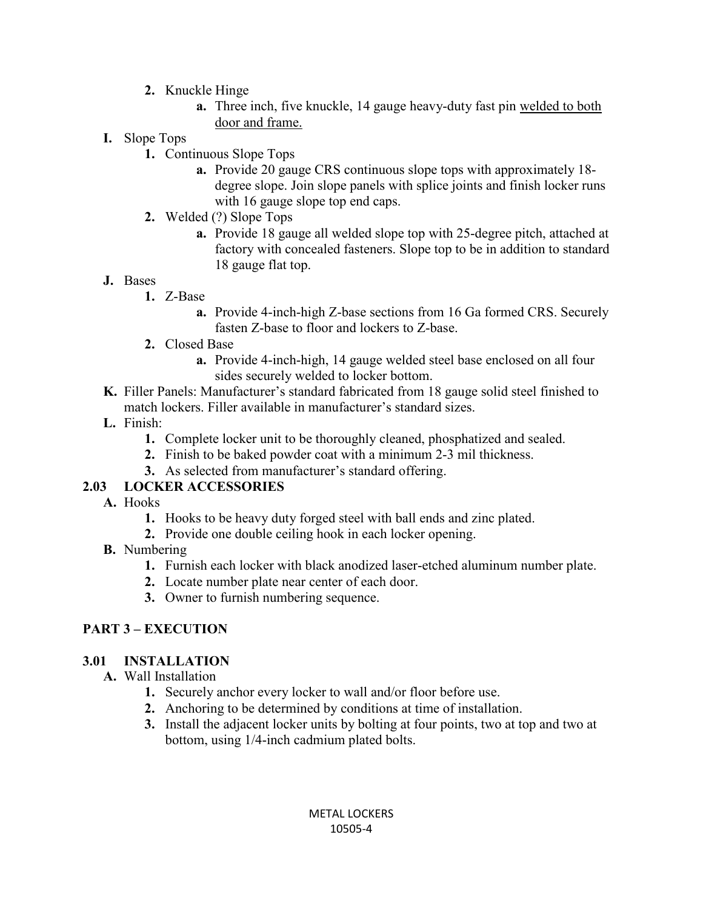- **2.** Knuckle Hinge
	- **a.** Three inch, five knuckle, 14 gauge heavy-duty fast pin welded to both door and frame.
- **I.** Slope Tops
	- **1.** Continuous Slope Tops
		- **a.** Provide 20 gauge CRS continuous slope tops with approximately 18 degree slope. Join slope panels with splice joints and finish locker runs with 16 gauge slope top end caps.
	- **2.** Welded (?) Slope Tops
		- **a.** Provide 18 gauge all welded slope top with 25-degree pitch, attached at factory with concealed fasteners. Slope top to be in addition to standard 18 gauge flat top.

### **J.** Bases

- **1.** Z-Base
	- **a.** Provide 4-inch-high Z-base sections from 16 Ga formed CRS. Securely fasten Z-base to floor and lockers to Z-base.
- **2.** Closed Base
	- **a.** Provide 4-inch-high, 14 gauge welded steel base enclosed on all four sides securely welded to locker bottom.
- **K.** Filler Panels: Manufacturer's standard fabricated from 18 gauge solid steel finished to match lockers. Filler available in manufacturer's standard sizes.
- **L.** Finish:
	- **1.** Complete locker unit to be thoroughly cleaned, phosphatized and sealed.
	- **2.** Finish to be baked powder coat with a minimum 2-3 mil thickness.
	- **3.** As selected from manufacturer's standard offering.

## **2.03 LOCKER ACCESSORIES**

- **A.** Hooks
	- **1.** Hooks to be heavy duty forged steel with ball ends and zinc plated.
	- **2.** Provide one double ceiling hook in each locker opening.
- **B.** Numbering
	- **1.** Furnish each locker with black anodized laser-etched aluminum number plate.
	- **2.** Locate number plate near center of each door.
	- **3.** Owner to furnish numbering sequence.

# **PART 3 – EXECUTION**

### **3.01 INSTALLATION**

- **A.** Wall Installation
	- **1.** Securely anchor every locker to wall and/or floor before use.
	- **2.** Anchoring to be determined by conditions at time of installation.
	- **3.** Install the adjacent locker units by bolting at four points, two at top and two at bottom, using 1/4-inch cadmium plated bolts.